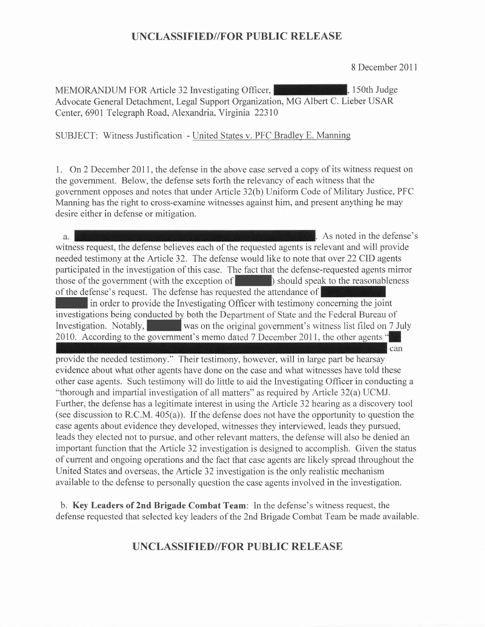8 December 201 <sup>1</sup>

MEMORANDUM FOR Article 32 Investigating Officer, 150th Judge Advocate General Detachment, Legal Support Organization, MG Albert C. Lieber USAR Center, 690I Telegraph Road, Alexandria, Virginia 22310

SUBJECT: Witness Justification - United States v. PFC Bradley E. Manning

1. On 2 December 2011, the defense in the above case served a copy of its witness request on the government. Below, the defense sets forth the relevancy of each witness that the government opposes and notes that under Article 32(b) Uniform Code of Military Justice, PFC Manning has the right to cross-examine witnesses against him, and present anything he may desire either in defense or mitigation.

As noted in the defense's a. witness request, the defense believes each of the requested agents is relevant and will provide needed testimony at the Article 32. The defense would like to note that over 22 CID agents participated in the investigation of this case. The fact that the defense-requested agents mirror those of the government (with the exception of  $\Box$ ) should speak to the reasonableness of the defense's request. The defense has requested the attendance of In order to provide the Investigating Officer with testimony concerning the joint investigations being conducted by both the Department of State and the Federal Bureau of Investigation. Notably, was on the original government's witness list filed on 7 July 2010. According to the government's memo dated 7 December 2011, the other agents " can provide the needed testimony." Their testimony, however, will in large part be hearsay

evidence about what other agents have done on the case and what witnesses have told these other case agents. Such testimony will do little to aid the Investigating Officer in conducting a "thorough and impartial investigation of all matters" as required by Article 32(a) UCMJ. Further, the defense has a legitimate interest in using the Article 32 hearing as a discovery tool (see discussion to R.C.M.  $405(a)$ ). If the defense does not have the opportunity to question the case agents about evidence they developed, witnesses they interviewed, leads they pursued, leads they elected not to pursue, and other relevant matters, the defense will also be denied an important function that the Article 32 investigation is designed to accomplish. Given the status of current and ongoing operations and the fact that case agents are likely spread throughout the United States and overseas, the Article 32 investigation is the only realistic mechanism available to the defense to personally question the case agents involved in the investigation.

b. Key Leaders of 2nd Brigade Combat Team: In the defense's witness request, the defense requested that selected key leaders of the 2nd Brigade Combat Team be made available.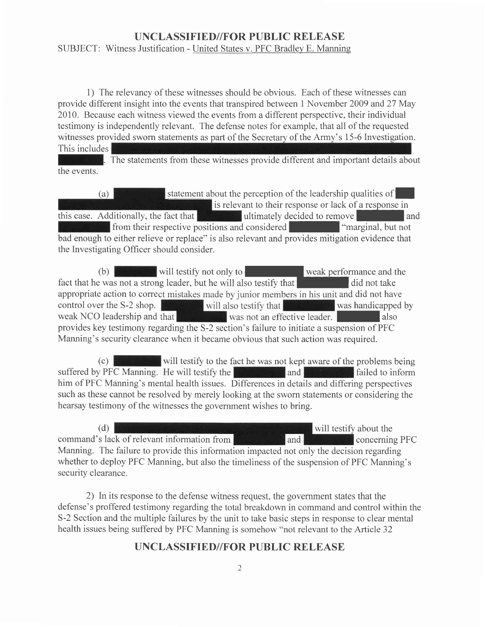#### SUBJECT: Witness Justification - United States v. PFC Bradley E. Manning

1) The relevancy of these witnesses should be obvious. Each of these witnesses can provide different insight into the events that transpired between 1 November 2009 and 27 May 2010. Because each witness viewed the events from a different perspective, their individual testimony is independently relevant. The defense notes for example, that all of the requested witnesses provided sworn statements as part of the Secretary of the Army's 15-6 Investigation. This includes

The statements from these witnesses provide different and important details about the events.

statement about the perception of the leadership qualities of  $(a)$ is relevant to their response or lack of a response in this case. Additionally, the fact that **Example 20** ultimately decided to remove from their respective positions and considered **I among the "marginal**, but not bad enough to either relieve or replace" is also relevant and provides mitigation evidence that the Investigating Officer should consider.

(b) will testify not only to weak performance and the fact that he was not a strong leader, but he will also testify that appropriate action to correct mistakes made by junior members in his unit and did not have control over the S-2 shop. control over the S-2 shop. will also testify that was handicapped by weak NCO leadership and that was not an effective leader. was not an effective leader. provides key testimony regarding the S-2 section's failure to initiate a suspension of PFC Manning's security clearance when it became obvious that such action was required.

 $(c)$  will testify to the fact he was not kept aware of the problems being suffered by PFC Manning. He will testify the **failed** and **failed** to inform him of PFC Manning's mental health issues. Differences in details and differing perspectives such as these cannot be resolved by merely looking at the sworn statements or considering the hearsay testimony of the witnesses the government wishes to bring.

(d) will testify about the command's lack of relevant information from **the concerning PFC** Manning. The failure to provide this information impacted not only the decision regarding whether to deploy PFC Manning, but also the timeliness of the suspension of PFC Manning's security clearance.

2) In its response to the defense witness request, the government states that the defense's proffered testimony regarding the total breakdown in command and control within the S-2 Section and the multiple failures by the unit to take basic steps in response to clear mental health issues being suffered by PFC Manning is somehow "not relevant to the Article 32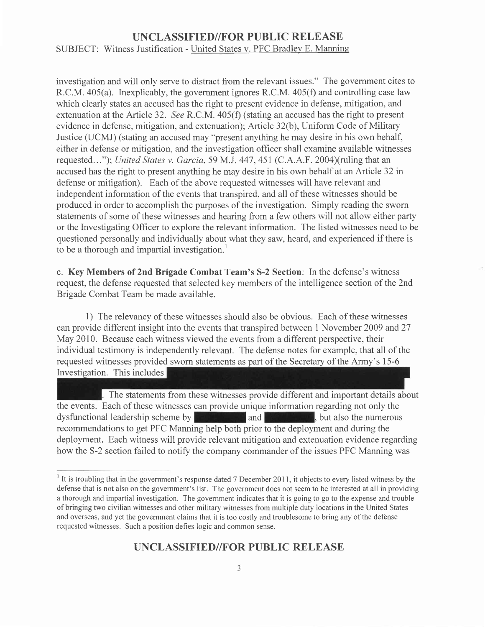SUBJECT: Witness Justification - United States v. PFC Bradley E. Manning

investigation and will only serve to distract from the relevant issues." The government cites to R.C.M. a05(a). Inexplicably, the government ignores R.C.M. 405(f) and controlling case law which clearly states an accused has the right to present evidence in defense, mitigation, and extenuation at the Article 32. See R.C.M. 405(f) (stating an accused has the right to present evidence in defense, mitigation, and extenuation); Article 32(b), Uniform Code of Military Justice (UCMJ) (stating an accused may "present anything he may desire in his own behalf, either in defense or mitigation, and the investigation officer shall examine available witnesses requested..."); United States v. Garcia,59 M.J. 447,451 (C.A.A.F. 2004)(ruling that an accused has the right to present anything he may desire in his own behalf at an Article 32 in defense or mitigation). Each of the above requested witnesses will have relevant and independent information of the events that transpired, and all of these witnesses should be produced in order to accomplish the purposes of the investigation. Simply reading the sworn statements of some of these witnesses and hearing from a few others will not allow either party or the Investigating Officer to explore the relevant information. The listed witnesses need to be questioned personally and individually about what they saw, heard, and experienced if there is to be a thorough and impartial investigation.<sup>1</sup>

c. Key Members of 2nd Brigade Combat Team's S-2 Section: In the defense's witness request, the defense requested that selected key members of the intelligence section of the 2nd Brigade Combat Team be made available.

1) The relevancy of these witnesses should also be obvious. Each of these witnesses can provide different insight into the events that transpired between I November 2009 and 27 May 2010. Because each witness viewed the events from a different perspective, their individual testimony is independently relevant. The defense notes for example, that all of the requested witnesses provided sworn statements as part of the Secretary of the Army's 15-6 Investigation. This includes

The statements from these witnesses provide different and important details about the events. Each of these witnesses can provide unique information regarding not only the dysfunctional leadership scheme by  $\mathbb{R}$  and  $\mathbb{R}$  and  $\mathbb{R}$  , but also the numerous recommendations to get PFC Manning help both prior to the deployment and during the deployment. Each witness will provide relevant mitigation and extenuation evidence regarding how the S-2 section failed to notify the company commander of the issues PFC Manning was

<sup>&</sup>lt;sup>1</sup> It is troubling that in the government's response dated 7 December 2011, it objects to every listed witness by the defense that is not also on the government's list. The government does not seem to be interested at all in providing a thorough and impartial investigation. The government indicates that it is going to go to the expense and trouble of bringing two civilian witnesses and other military witnesses from multiple duty locations in the United States and overseas, and yet the government claims that it is too costly and troublesome to bring any of the defense requested witnesses. Such a position defies logic and common sense.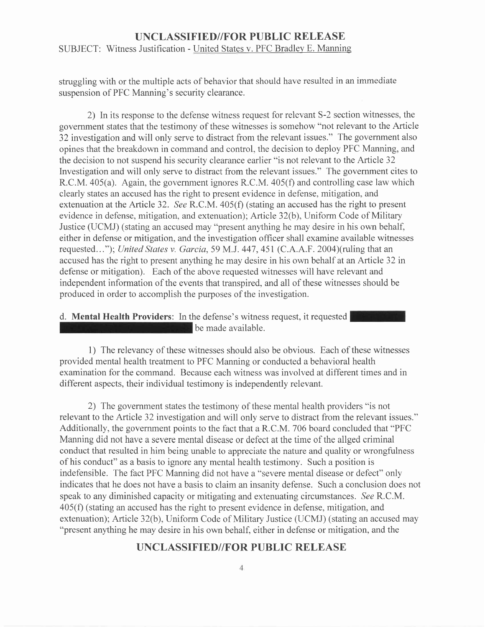#### UNCLASSIFIED//FOR PUBLIC RELEASE SUBJECT: Witness Justification - United States v. PFC Bradley E. Manning

struggling with or the multiple acts of behavior that should have resulted in an immediate suspension of PFC Manning's security clearance.

2) In its response to the defense witness request for relevant S-2 section witnesses, the government states that the testimony of these witnesses is somehow "not relevant to the Article 32 investigation and will only serve to distract from the relevant issues." The government also opines that the breakdown in command and control, the decision to deploy PFC Manning, and the decision to not suspend his security clearance earlier "is not relevant to the Artrcle 32 Investigation and will only serve to distract from the relevant issues." The government cites to R.C.M.  $405(a)$ . Again, the government ignores R.C.M.  $405(f)$  and controlling case law which clearly states an accused has the right to present evidence in defense, mitigation, and extenuation at the Article 32. See R.C.M.  $405(f)$  (stating an accused has the right to present evidence in defense, mitigation, and extenuation); Article 32(b), Uniform Code of Military Justice (UCMJ) (stating an accused may "present anything he may desire in his own behalf either in defense or mitigation, and the investigation officer shall examine available witnesses requested..."); United States v. Garcia, 59 M.J. 447, 451 (C.A.A.F. 2004)(ruling that an accused has the right to present anything he may desire in his own behalf at an Article 32 in defense or mitigation). Each of the above requested witnesses will have relevant and independent information of the events that transpired, and all of these witnesses should be produced in order to accomplish the purposes of the investigation.

d. Mental Health Providers: In the defense's witness request, it requested be made available.

l) The relevancy of these witnesses should also be obvious. Each of these witnesses provided mental health treatment to PFC Manning or conducted a behavioral health examination for the command. Because each witness was involved at different times and in different aspects, their individual testimony is independently relevant.

2) The government states the testimony of these mental health providers "is not relevant to the Article 32 investigation and will only serve to distract from the relevant issues." Additionally, the government points to the fact that a R.C.M.706 board concluded that "PFC Manning did not have a severe mental disease or defect at the time of the allged criminal conduct that resulted in him being unable to appreciate the nature and quality or wrongfulness of his conduct" as a basis to ignore any mental health testimony. Such a position is indefensible. The fact PFC Manning did not have a "severe mental disease or defect" only indicates that he does not have a basis to claim an insanity defense. Such a conclusion does not speak to any diminished capacity or mitigating and extenuating circumstances. See R.C.M. 405(f) (stating an accused has the right to present evidence in defense, mitigation, and extenuation); Article 32(b), Uniform Code of Military Justice (UCMJ) (stating an accused may "present anything he may desire in his own behalf, either in defense or mitigation, and the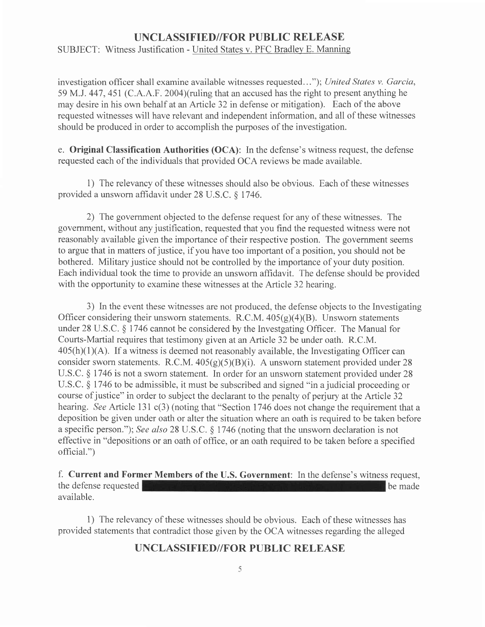SUBJECT: Witness Justification - United States v. PFC Bradley E. Manning

investigation officer shall examine available witnesses requested..."); United States v. Garcia, 59 M.J. 447,451 (C.A.A.F. 2004)(ruling that an accused has the right to present anything he may desire in his own behalf at an Article 32 in defense or mitigation). Each of the above requested witnesses will have relevant and independent information, and all of these witnesses should be produced in order to accomplish the purposes of the investigation.

e. Original Classification Authorities (OCA): In the defense's witness request, the defense requested each of the individuals that provided OCA reviews be made available.

1) The relevancy of these witnesses should also be obvious. Each of these witnesses provided a unsworn affidavit under 28 U.S.C. \$ 1746.

2) The government objected to the defense request for any of these witnesses. The government, without any justification, requested that you find the requested witness were not reasonably available given the importance of their respective postion. The government seems to argue that in matters of justice, if you have too important of a position, you should not be bothered. Military justice should not be controlled by the importance of your duty position. Each individual took the time to provide an unsworn affidavit. The defense should be provided with the opportunity to examine these witnesses at the Article 32 hearing.

3) In the event these witnesses are not produced, the defense objects to the Investigating Officer considering their unsworn statements. R.C.M.  $405(g)(4)(B)$ . Unsworn statements under 28 U.S.C. \$ 1746 cannot be considered by the Investgating Officer. The Manual for Courts-Martial requires that testimony given at an Article 32be under oath. R.C.M.  $405(h)(1)(A)$ . If a witness is deemed not reasonably available, the Investigating Officer can consider sworn statements. R.C.M.  $405(g)(5)(B)(i)$ . A unsworn statement provided under 28 U.S.C. \$ 1746 is not a sworn statement. In order for an unsworn statement provided under 28 U.S.C. \$ 1746 to be admissible, it must be subscribed and signed "in a judicial proceeding or course of justice" in order to subject the declarant to the penalty of perjury at the Article 32 hearing. See Article 131 c(3) (noting that "Section 1746 does not change the requirement that a deposition be given under oath or alter the situation where an oath is required to be taken before a specific person."); See also 28 U.S.C.  $\S$  1746 (noting that the unsworn declaration is not effective in "depositions or an oath of office, or an oath required to be taken before a specified official.")

f. Current and Former Members of the U.S. Government: In the defense's witness request, the defense requested available. be made

l) The relevancy of these witnesses should be obvious. Each of these witnesses has provided statements that contradict those given by the OCA witnesses regarding the alleged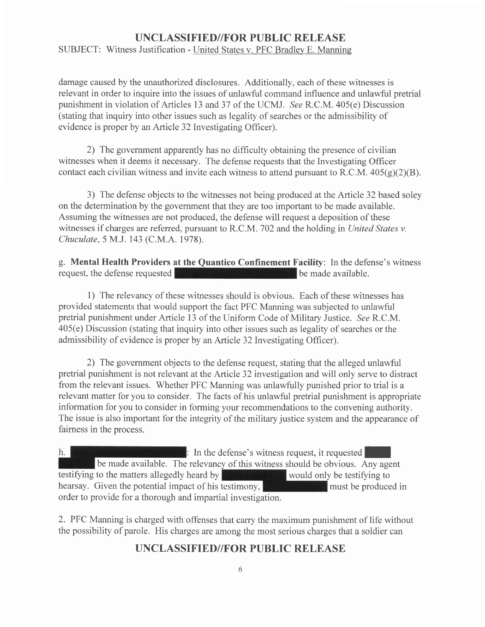SUBJECT: Witness Justification - United States v. PFC Bradlev E. Manning

damage caused by the unauthorized disclosures. Additionally, each of these witnesses is relevant in order to inquire into the issues of unlawful command influence and unlawful pretrial punishment in violation of Articles 13 and 37 of the UCMJ. See R.C.M. 405(e) Discussion (stating that inquiry into other issues such as legality of searches or the admissibility of evidence is proper by an Article 32 Investigating Officer).

2) The government apparently has no difficulty obtaining the presence of civilian witnesses when it deems it necessary. The defense requests that the Investigating Officer contact each civilian witness and invite each witness to attend pursuant to R.C.M.  $405(g)(2)(B)$ .

3) The defense objects to the witnesses not being produced at the Article 32 based soley on the determination by the government that they are too important to be made available. Assuming the witnesses are not produced, the defense will request a deposition of these witnesses if charges are referred, pursuant to R.C.M. 702 and the holding in United States v. Chuculate,5 M.J. 143 (C.M.A. 1978).

g. **Mental Health Providers at the Quantico Confinement Facility**: In the defense's witness request, the defense requested request, the defense requested

1) The relevancy of these witnesses should is obvious. Each of these witnesses has provided statements that would support the fact PFC Manning was subjected to unlawful pretrial punishment under Article 13 of the Uniform Code of Military Justice. See R.C.M. 405(e) Discussion (stating that inquiry into other issues such as legality of searches or the admissibility of evidence is proper by an Article 32 Investigating Officer).

2) The government objects to the defense request, stating that the alleged unlawful pretrial punishment is not relevant at the Article 32 investigation and will only serve to distract from the relevant issues. Whether PFC Manning was unlawfully punished prior to trial is a relevant matter for you to consider. The facts of his unlawful pretrial punishment is appropriate information for you to consider in forming your recommendations to the convening authority. The issue is also important for the integrity of the military justice system and the appearance of fairness in the process.

 $h.$  $\mathbb{R}$ : In the defense's witness request, it requested be made available. The relevancy of this witness should be obvious. Any agent testifying to the matters allegedly heard by  $\mathbb{R}$  would only be testifying to hearsay. Given the potential impact of his testimony, **must be produced in** must be produced in order to provide for a thorough and impartial investigation.

2. PFC Manning is charged with offenses that carry the maximum punishment of life without the possibility of parole. His charges are among the most serious charges that a soldier can